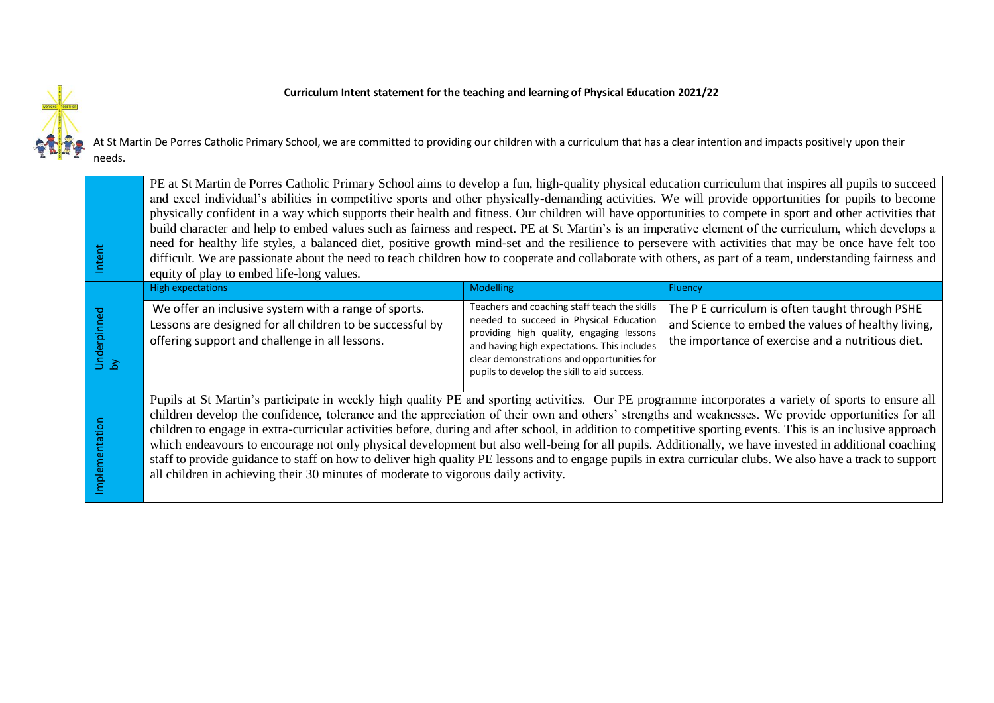## **Curriculum Intent statement for the teaching and learning of Physical Education 2021/22**



At St Martin De Porres Catholic Primary School, we are committed to providing our children with a curriculum that has a clear intention and impacts positively upon their needs.

| Intent            | PE at St Martin de Porres Catholic Primary School aims to develop a fun, high-quality physical education curriculum that inspires all pupils to succeed<br>and excel individual's abilities in competitive sports and other physically-demanding activities. We will provide opportunities for pupils to become<br>physically confident in a way which supports their health and fitness. Our children will have opportunities to compete in sport and other activities that<br>build character and help to embed values such as fairness and respect. PE at St Martin's is an imperative element of the curriculum, which develops a<br>need for healthy life styles, a balanced diet, positive growth mind-set and the resilience to persevere with activities that may be once have felt too<br>difficult. We are passionate about the need to teach children how to cooperate and collaborate with others, as part of a team, understanding fairness and<br>equity of play to embed life-long values. |                                                                                                                                                                                                                                                                                 |                                                                                                                                                            |
|-------------------|-----------------------------------------------------------------------------------------------------------------------------------------------------------------------------------------------------------------------------------------------------------------------------------------------------------------------------------------------------------------------------------------------------------------------------------------------------------------------------------------------------------------------------------------------------------------------------------------------------------------------------------------------------------------------------------------------------------------------------------------------------------------------------------------------------------------------------------------------------------------------------------------------------------------------------------------------------------------------------------------------------------|---------------------------------------------------------------------------------------------------------------------------------------------------------------------------------------------------------------------------------------------------------------------------------|------------------------------------------------------------------------------------------------------------------------------------------------------------|
|                   | <b>High expectations</b>                                                                                                                                                                                                                                                                                                                                                                                                                                                                                                                                                                                                                                                                                                                                                                                                                                                                                                                                                                                  | <b>Modelling</b>                                                                                                                                                                                                                                                                | Fluency                                                                                                                                                    |
| Underpinned<br>by | We offer an inclusive system with a range of sports.<br>Lessons are designed for all children to be successful by<br>offering support and challenge in all lessons.                                                                                                                                                                                                                                                                                                                                                                                                                                                                                                                                                                                                                                                                                                                                                                                                                                       | Teachers and coaching staff teach the skills<br>needed to succeed in Physical Education<br>providing high quality, engaging lessons<br>and having high expectations. This includes<br>clear demonstrations and opportunities for<br>pupils to develop the skill to aid success. | The P E curriculum is often taught through PSHE<br>and Science to embed the values of healthy living,<br>the importance of exercise and a nutritious diet. |
| Implementation    | Pupils at St Martin's participate in weekly high quality PE and sporting activities. Our PE programme incorporates a variety of sports to ensure all<br>children develop the confidence, tolerance and the appreciation of their own and others' strengths and weaknesses. We provide opportunities for all<br>children to engage in extra-curricular activities before, during and after school, in addition to competitive sporting events. This is an inclusive approach<br>which endeavours to encourage not only physical development but also well-being for all pupils. Additionally, we have invested in additional coaching<br>staff to provide guidance to staff on how to deliver high quality PE lessons and to engage pupils in extra curricular clubs. We also have a track to support<br>all children in achieving their 30 minutes of moderate to vigorous daily activity.                                                                                                                |                                                                                                                                                                                                                                                                                 |                                                                                                                                                            |